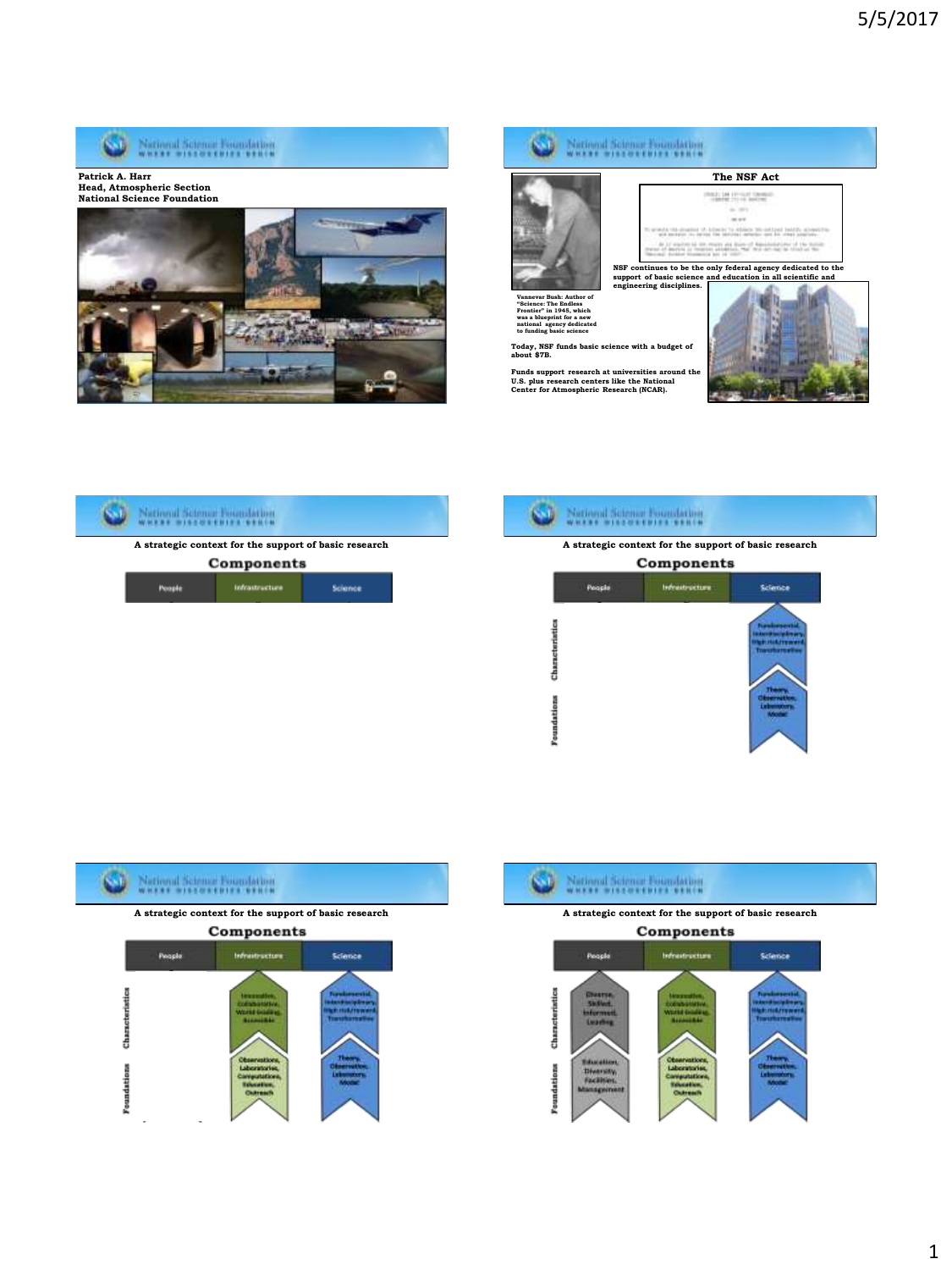











Components

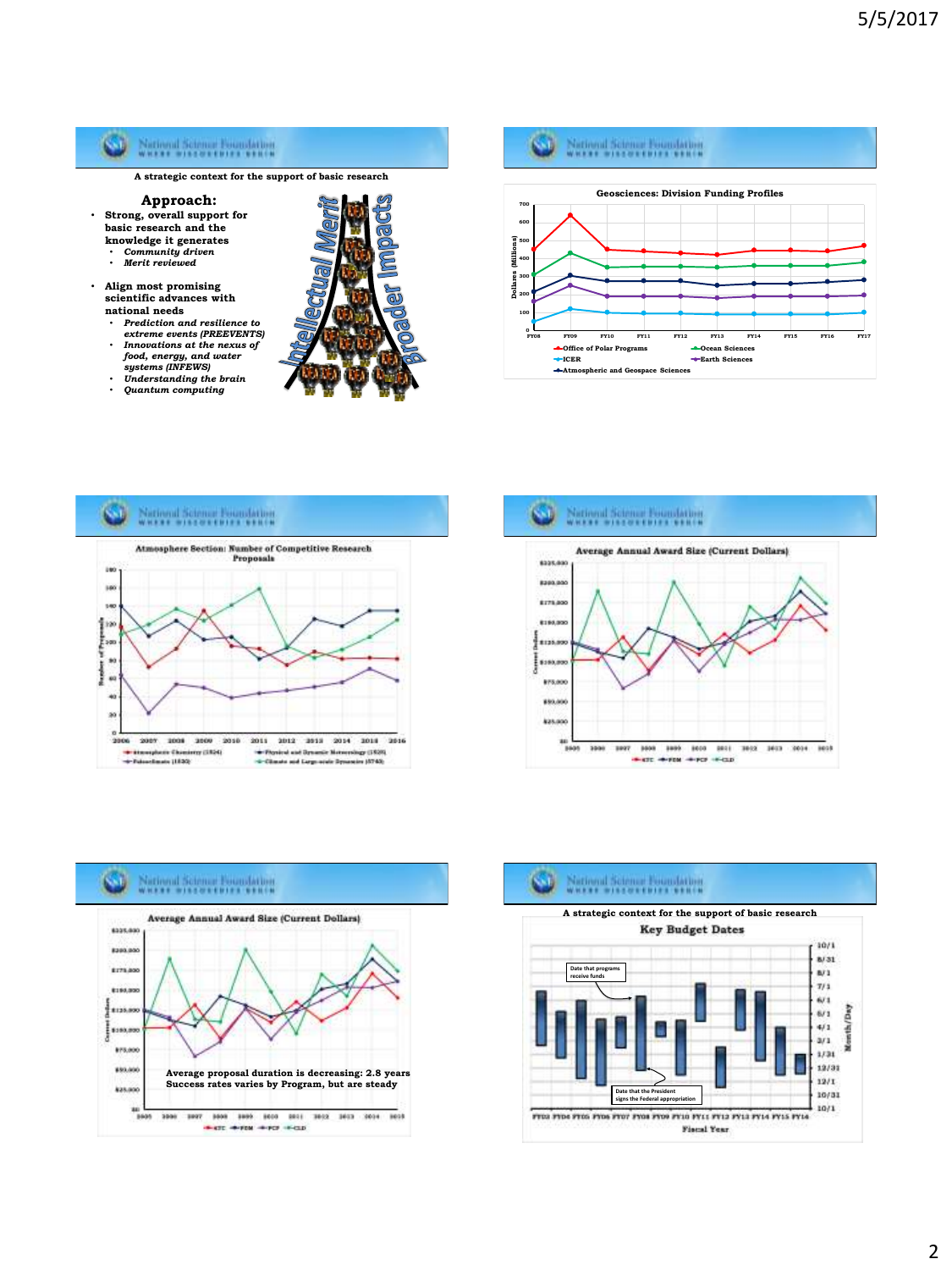

- *extreme events (PREEVENTS) Innovations at the nexus of food, energy, and water systems (INFEWS)*
- *Understanding the brain Quantum computing*



**0 FY08 FY09 FY10 FY11 FY12 FY13 FY14 FY15 FY16 FY17 Geosciences: Division Funding Profiles Office of Polar Programs Ocean Sciences ICER Earth Sciences**

**Atmospheric and Geospace Sciences**